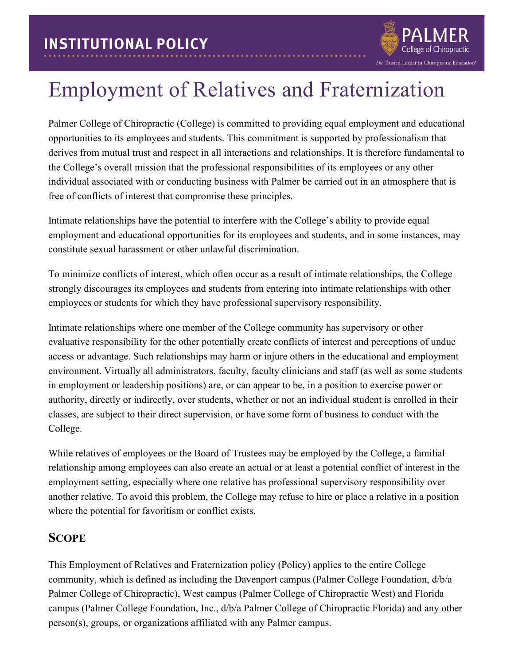## Employment of Relatives and Fraternization

The Trusted Leader in Chiropractic Education®

Palmer College of Chiropractic (College) is committed to providing equal employment and educational opportunities to its employees and students. This commitment is supported by professionalism that derives from mutual trust and respect in all interactions and relationships. It is therefore fundamental to the College's overall mission that the professional responsibilities of its employees or any other individual associated with or conducting business with Palmer be carried out in an atmosphere that is free of conflicts of interest that compromise these principles.

Intimate relationships have the potential to interfere with the College's ability to provide equal employment and educational opportunities for its employees and students, and in some instances, may constitute sexual harassment or other unlawful discrimination.

To minimize conflicts of interest, which often occur as a result of intimate relationships, the College strongly discourages its employees and students from entering into intimate relationships with other employees or students for which they have professional supervisory responsibility.

Intimate relationships where one member of the College community has supervisory or other evaluative responsibility for the other potentially create conflicts of interest and perceptions of undue access or advantage. Such relationships may harm or injure others in the educational and employment environment. Virtually all administrators, faculty, faculty clinicians and staff (as well as some students in employment or leadership positions) are, or can appear to be, in a position to exercise power or authority, directly or indirectly, over students, whether or not an individual student is enrolled in their classes, are subject to their direct supervision, or have some form of business to conduct with the College.

While relatives of employees or the Board of Trustees may be employed by the College, a familial relationship among employees can also create an actual or at least a potential conflict of interest in the employment setting, especially where one relative has professional supervisory responsibility over another relative. To avoid this problem, the College may refuse to hire or place a relative in a position where the potential for favoritism or conflict exists.

#### **SCOPE**

This Employment of Relatives and Fraternization policy (Policy) applies to the entire College community, which is defined as including the Davenport campus (Palmer College Foundation, d/b/a Palmer College of Chiropractic), West campus (Palmer College of Chiropractic West) and Florida campus (Palmer College Foundation, Inc., d/b/a Palmer College of Chiropractic Florida) and any other person(s), groups, or organizations affiliated with any Palmer campus.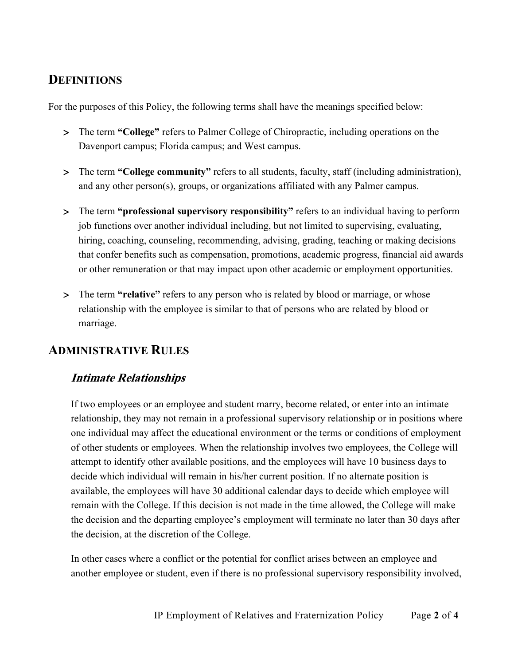## **DEFINITIONS**

For the purposes of this Policy, the following terms shall have the meanings specified below:

- > The term **"College"** refers to Palmer College of Chiropractic, including operations on the Davenport campus; Florida campus; and West campus.
- > The term **"College community"** refers to all students, faculty, staff (including administration), and any other person(s), groups, or organizations affiliated with any Palmer campus.
- > The term **"professional supervisory responsibility"** refers to an individual having to perform job functions over another individual including, but not limited to supervising, evaluating, hiring, coaching, counseling, recommending, advising, grading, teaching or making decisions that confer benefits such as compensation, promotions, academic progress, financial aid awards or other remuneration or that may impact upon other academic or employment opportunities.
- > The term **"relative"** refers to any person who is related by blood or marriage, or whose relationship with the employee is similar to that of persons who are related by blood or marriage.

## **ADMINISTRATIVE RULES**

#### **Intimate Relationships**

If two employees or an employee and student marry, become related, or enter into an intimate relationship, they may not remain in a professional supervisory relationship or in positions where one individual may affect the educational environment or the terms or conditions of employment of other students or employees. When the relationship involves two employees, the College will attempt to identify other available positions, and the employees will have 10 business days to decide which individual will remain in his/her current position. If no alternate position is available, the employees will have 30 additional calendar days to decide which employee will remain with the College. If this decision is not made in the time allowed, the College will make the decision and the departing employee's employment will terminate no later than 30 days after the decision, at the discretion of the College.

In other cases where a conflict or the potential for conflict arises between an employee and another employee or student, even if there is no professional supervisory responsibility involved,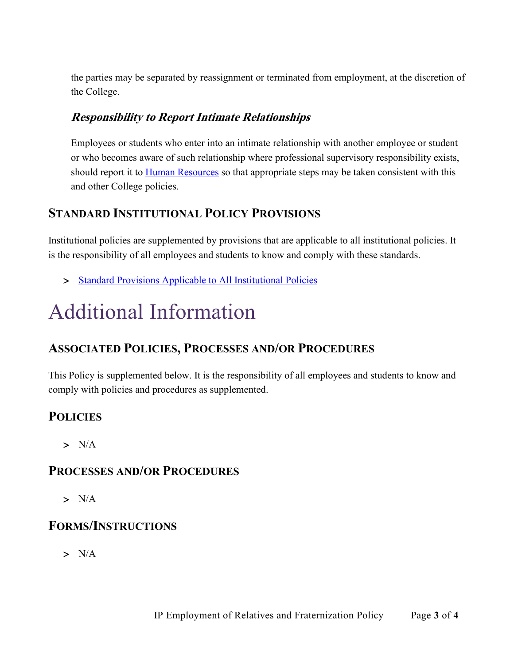the parties may be separated by reassignment or terminated from employment, at the discretion of the College.

#### **Responsibility to Report Intimate Relationships**

Employees or students who enter into an intimate relationship with another employee or student or who becomes aware of such relationship where professional supervisory responsibility exists, should report it to **Human Resources** so that appropriate steps may be taken consistent with this and other College policies.

## **STANDARD INSTITUTIONAL POLICY PROVISIONS**

Institutional policies are supplemented by provisions that are applicable to all institutional policies. It is the responsibility of all employees and students to know and comply with these standards.

> [Standard Provisions Applicable to All Institutional Policies](http://www.palmer.edu/uploadedFiles/Pages/Students/Resources_and_Offices/Handbook_and_Policies/_pdf/Standard-Provisions-Applicable-to-All-Institutional-Policies.pdf)

# Additional Information

## **ASSOCIATED POLICIES, PROCESSES AND/OR PROCEDURES**

This Policy is supplemented below. It is the responsibility of all employees and students to know and comply with policies and procedures as supplemented.

## **POLICIES**

 $> N/A$ 

#### **PROCESSES AND/OR PROCEDURES**

> N/A

## **FORMS/INSTRUCTIONS**

 $> N/A$